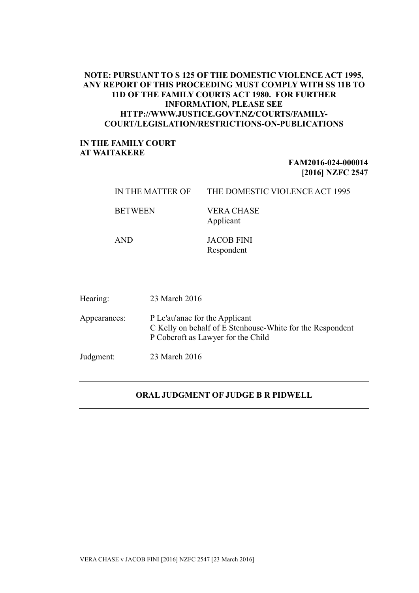## **NOTE: PURSUANT TO S 125 OF THE DOMESTIC VIOLENCE ACT 1995, ANY REPORT OF THIS PROCEEDING MUST COMPLY WITH SS 11B TO 11D OF THE FAMILY COURTS ACT 1980. FOR FURTHER INFORMATION, PLEASE SEE HTTP://WWW.JUSTICE.GOVT.NZ/COURTS/FAMILY-COURT/LEGISLATION/RESTRICTIONS-ON-PUBLICATIONS**

## **IN THE FAMILY COURT AT WAITAKERE**

## **FAM2016-024-000014 [2016] NZFC 2547**

| IN THE MATTER OF | THE DOMESTIC VIOLENCE ACT 1995 |
|------------------|--------------------------------|
| <b>BETWEEN</b>   | VERA CHASE<br>Applicant        |
| <b>AND</b>       | <b>JACOB FINI</b>              |

Respondent

| Hearing:     | 23 March 2016                                                                                                                     |
|--------------|-----------------------------------------------------------------------------------------------------------------------------------|
| Appearances: | P Le'au'anae for the Applicant<br>C Kelly on behalf of E Stenhouse-White for the Respondent<br>P Coberoft as Lawyer for the Child |
| Judgment:    | 23 March 2016                                                                                                                     |

## **ORAL JUDGMENT OF JUDGE B R PIDWELL**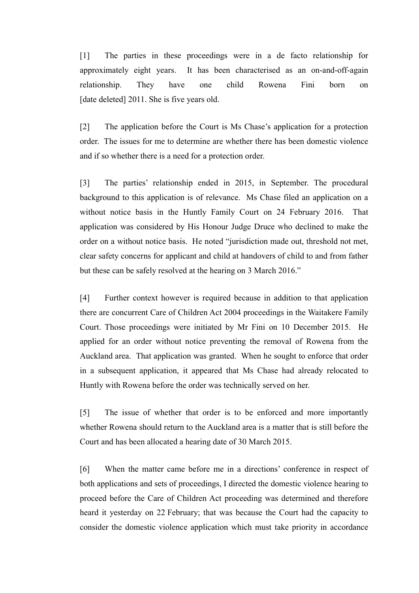[1] The parties in these proceedings were in a de facto relationship for approximately eight years. It has been characterised as an on-and-off-again relationship. They have one child Rowena Fini born on [date deleted] 2011. She is five years old.

[2] The application before the Court is Ms Chase's application for a protection order. The issues for me to determine are whether there has been domestic violence and if so whether there is a need for a protection order.

[3] The parties' relationship ended in 2015, in September. The procedural background to this application is of relevance. Ms Chase filed an application on a without notice basis in the Huntly Family Court on 24 February 2016. That application was considered by His Honour Judge Druce who declined to make the order on a without notice basis. He noted "jurisdiction made out, threshold not met, clear safety concerns for applicant and child at handovers of child to and from father but these can be safely resolved at the hearing on 3 March 2016."

[4] Further context however is required because in addition to that application there are concurrent Care of Children Act 2004 proceedings in the Waitakere Family Court. Those proceedings were initiated by Mr Fini on 10 December 2015. He applied for an order without notice preventing the removal of Rowena from the Auckland area. That application was granted. When he sought to enforce that order in a subsequent application, it appeared that Ms Chase had already relocated to Huntly with Rowena before the order was technically served on her.

[5] The issue of whether that order is to be enforced and more importantly whether Rowena should return to the Auckland area is a matter that is still before the Court and has been allocated a hearing date of 30 March 2015.

[6] When the matter came before me in a directions' conference in respect of both applications and sets of proceedings, I directed the domestic violence hearing to proceed before the Care of Children Act proceeding was determined and therefore heard it yesterday on 22 February; that was because the Court had the capacity to consider the domestic violence application which must take priority in accordance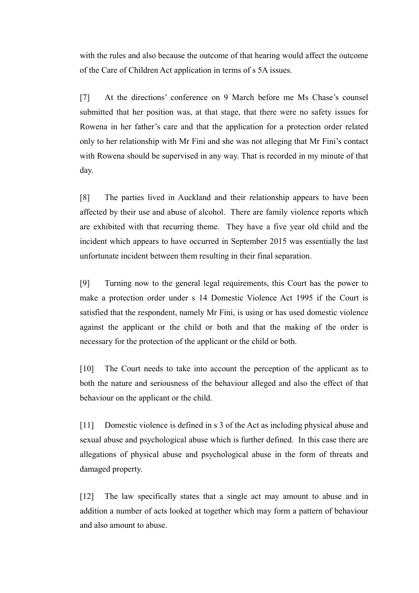with the rules and also because the outcome of that hearing would affect the outcome of the Care of Children Act application in terms of s 5A issues.

[7] At the directions' conference on 9 March before me Ms Chase's counsel submitted that her position was, at that stage, that there were no safety issues for Rowena in her father's care and that the application for a protection order related only to her relationship with Mr Fini and she was not alleging that Mr Fini's contact with Rowena should be supervised in any way. That is recorded in my minute of that day.

[8] The parties lived in Auckland and their relationship appears to have been affected by their use and abuse of alcohol. There are family violence reports which are exhibited with that recurring theme. They have a five year old child and the incident which appears to have occurred in September 2015 was essentially the last unfortunate incident between them resulting in their final separation.

[9] Turning now to the general legal requirements, this Court has the power to make a protection order under s 14 Domestic Violence Act 1995 if the Court is satisfied that the respondent, namely Mr Fini, is using or has used domestic violence against the applicant or the child or both and that the making of the order is necessary for the protection of the applicant or the child or both.

[10] The Court needs to take into account the perception of the applicant as to both the nature and seriousness of the behaviour alleged and also the effect of that behaviour on the applicant or the child.

[11] Domestic violence is defined in s 3 of the Act as including physical abuse and sexual abuse and psychological abuse which is further defined. In this case there are allegations of physical abuse and psychological abuse in the form of threats and damaged property.

[12] The law specifically states that a single act may amount to abuse and in addition a number of acts looked at together which may form a pattern of behaviour and also amount to abuse.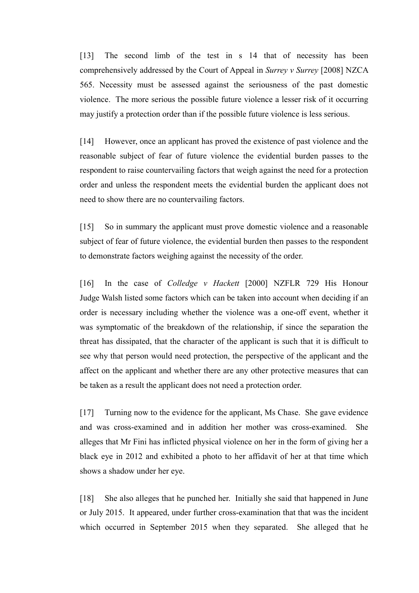[13] The second limb of the test in s 14 that of necessity has been comprehensively addressed by the Court of Appeal in *Surrey v Surrey* [2008] NZCA 565. Necessity must be assessed against the seriousness of the past domestic violence. The more serious the possible future violence a lesser risk of it occurring may justify a protection order than if the possible future violence is less serious.

[14] However, once an applicant has proved the existence of past violence and the reasonable subject of fear of future violence the evidential burden passes to the respondent to raise countervailing factors that weigh against the need for a protection order and unless the respondent meets the evidential burden the applicant does not need to show there are no countervailing factors.

[15] So in summary the applicant must prove domestic violence and a reasonable subject of fear of future violence, the evidential burden then passes to the respondent to demonstrate factors weighing against the necessity of the order.

[16] In the case of *Colledge v Hackett* [2000] NZFLR 729 His Honour Judge Walsh listed some factors which can be taken into account when deciding if an order is necessary including whether the violence was a one-off event, whether it was symptomatic of the breakdown of the relationship, if since the separation the threat has dissipated, that the character of the applicant is such that it is difficult to see why that person would need protection, the perspective of the applicant and the affect on the applicant and whether there are any other protective measures that can be taken as a result the applicant does not need a protection order.

[17] Turning now to the evidence for the applicant, Ms Chase. She gave evidence and was cross-examined and in addition her mother was cross-examined. She alleges that Mr Fini has inflicted physical violence on her in the form of giving her a black eye in 2012 and exhibited a photo to her affidavit of her at that time which shows a shadow under her eye.

[18] She also alleges that he punched her. Initially she said that happened in June or July 2015. It appeared, under further cross-examination that that was the incident which occurred in September 2015 when they separated. She alleged that he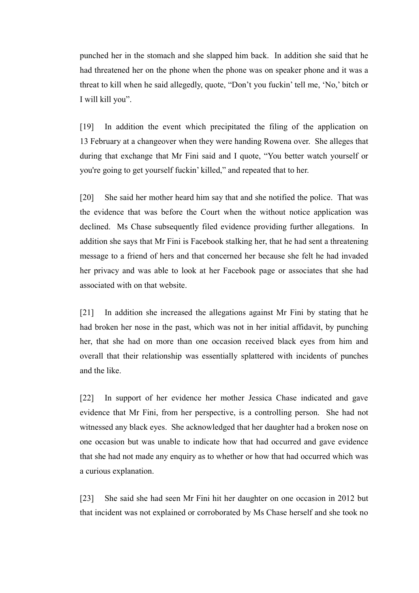punched her in the stomach and she slapped him back. In addition she said that he had threatened her on the phone when the phone was on speaker phone and it was a threat to kill when he said allegedly, quote, "Don't you fuckin' tell me, 'No,' bitch or I will kill you".

[19] In addition the event which precipitated the filing of the application on 13 February at a changeover when they were handing Rowena over. She alleges that during that exchange that Mr Fini said and I quote, "You better watch yourself or you're going to get yourself fuckin' killed," and repeated that to her.

[20] She said her mother heard him say that and she notified the police. That was the evidence that was before the Court when the without notice application was declined. Ms Chase subsequently filed evidence providing further allegations. In addition she says that Mr Fini is Facebook stalking her, that he had sent a threatening message to a friend of hers and that concerned her because she felt he had invaded her privacy and was able to look at her Facebook page or associates that she had associated with on that website.

[21] In addition she increased the allegations against Mr Fini by stating that he had broken her nose in the past, which was not in her initial affidavit, by punching her, that she had on more than one occasion received black eyes from him and overall that their relationship was essentially splattered with incidents of punches and the like.

[22] In support of her evidence her mother Jessica Chase indicated and gave evidence that Mr Fini, from her perspective, is a controlling person. She had not witnessed any black eyes. She acknowledged that her daughter had a broken nose on one occasion but was unable to indicate how that had occurred and gave evidence that she had not made any enquiry as to whether or how that had occurred which was a curious explanation.

[23] She said she had seen Mr Fini hit her daughter on one occasion in 2012 but that incident was not explained or corroborated by Ms Chase herself and she took no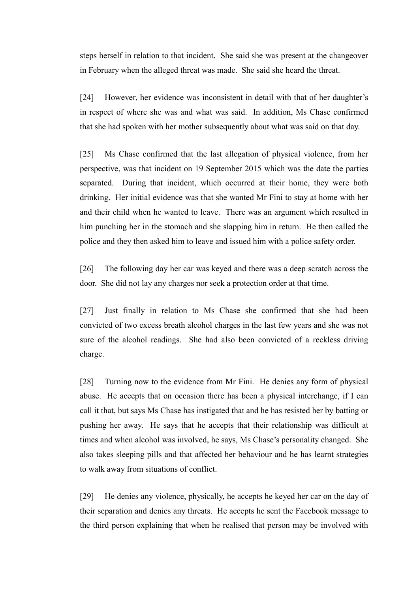steps herself in relation to that incident. She said she was present at the changeover in February when the alleged threat was made. She said she heard the threat.

[24] However, her evidence was inconsistent in detail with that of her daughter's in respect of where she was and what was said. In addition, Ms Chase confirmed that she had spoken with her mother subsequently about what was said on that day.

[25] Ms Chase confirmed that the last allegation of physical violence, from her perspective, was that incident on 19 September 2015 which was the date the parties separated. During that incident, which occurred at their home, they were both drinking. Her initial evidence was that she wanted Mr Fini to stay at home with her and their child when he wanted to leave. There was an argument which resulted in him punching her in the stomach and she slapping him in return. He then called the police and they then asked him to leave and issued him with a police safety order.

[26] The following day her car was keyed and there was a deep scratch across the door. She did not lay any charges nor seek a protection order at that time.

[27] Just finally in relation to Ms Chase she confirmed that she had been convicted of two excess breath alcohol charges in the last few years and she was not sure of the alcohol readings. She had also been convicted of a reckless driving charge.

[28] Turning now to the evidence from Mr Fini. He denies any form of physical abuse. He accepts that on occasion there has been a physical interchange, if I can call it that, but says Ms Chase has instigated that and he has resisted her by batting or pushing her away. He says that he accepts that their relationship was difficult at times and when alcohol was involved, he says, Ms Chase's personality changed. She also takes sleeping pills and that affected her behaviour and he has learnt strategies to walk away from situations of conflict.

[29] He denies any violence, physically, he accepts he keyed her car on the day of their separation and denies any threats. He accepts he sent the Facebook message to the third person explaining that when he realised that person may be involved with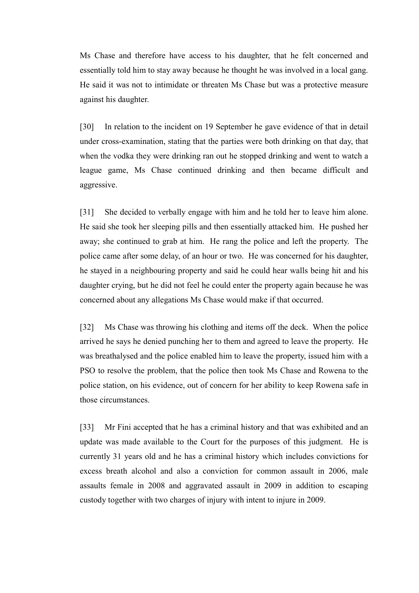Ms Chase and therefore have access to his daughter, that he felt concerned and essentially told him to stay away because he thought he was involved in a local gang. He said it was not to intimidate or threaten Ms Chase but was a protective measure against his daughter.

[30] In relation to the incident on 19 September he gave evidence of that in detail under cross-examination, stating that the parties were both drinking on that day, that when the vodka they were drinking ran out he stopped drinking and went to watch a league game, Ms Chase continued drinking and then became difficult and aggressive.

[31] She decided to verbally engage with him and he told her to leave him alone. He said she took her sleeping pills and then essentially attacked him. He pushed her away; she continued to grab at him. He rang the police and left the property. The police came after some delay, of an hour or two. He was concerned for his daughter, he stayed in a neighbouring property and said he could hear walls being hit and his daughter crying, but he did not feel he could enter the property again because he was concerned about any allegations Ms Chase would make if that occurred.

[32] Ms Chase was throwing his clothing and items off the deck. When the police arrived he says he denied punching her to them and agreed to leave the property. He was breathalysed and the police enabled him to leave the property, issued him with a PSO to resolve the problem, that the police then took Ms Chase and Rowena to the police station, on his evidence, out of concern for her ability to keep Rowena safe in those circumstances.

[33] Mr Fini accepted that he has a criminal history and that was exhibited and an update was made available to the Court for the purposes of this judgment. He is currently 31 years old and he has a criminal history which includes convictions for excess breath alcohol and also a conviction for common assault in 2006, male assaults female in 2008 and aggravated assault in 2009 in addition to escaping custody together with two charges of injury with intent to injure in 2009.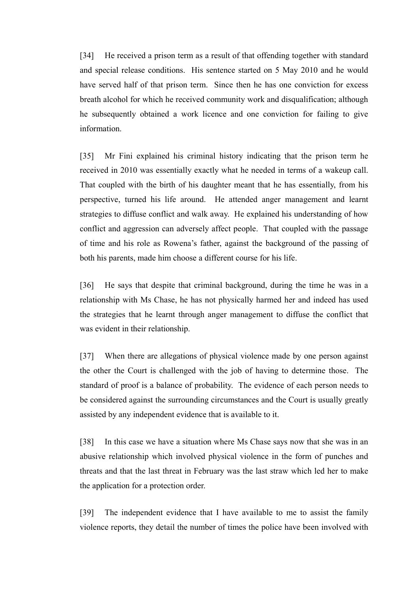[34] He received a prison term as a result of that offending together with standard and special release conditions. His sentence started on 5 May 2010 and he would have served half of that prison term. Since then he has one conviction for excess breath alcohol for which he received community work and disqualification; although he subsequently obtained a work licence and one conviction for failing to give information.

[35] Mr Fini explained his criminal history indicating that the prison term he received in 2010 was essentially exactly what he needed in terms of a wakeup call. That coupled with the birth of his daughter meant that he has essentially, from his perspective, turned his life around. He attended anger management and learnt strategies to diffuse conflict and walk away. He explained his understanding of how conflict and aggression can adversely affect people. That coupled with the passage of time and his role as Rowena's father, against the background of the passing of both his parents, made him choose a different course for his life.

[36] He says that despite that criminal background, during the time he was in a relationship with Ms Chase, he has not physically harmed her and indeed has used the strategies that he learnt through anger management to diffuse the conflict that was evident in their relationship.

[37] When there are allegations of physical violence made by one person against the other the Court is challenged with the job of having to determine those. The standard of proof is a balance of probability. The evidence of each person needs to be considered against the surrounding circumstances and the Court is usually greatly assisted by any independent evidence that is available to it.

[38] In this case we have a situation where Ms Chase says now that she was in an abusive relationship which involved physical violence in the form of punches and threats and that the last threat in February was the last straw which led her to make the application for a protection order.

[39] The independent evidence that I have available to me to assist the family violence reports, they detail the number of times the police have been involved with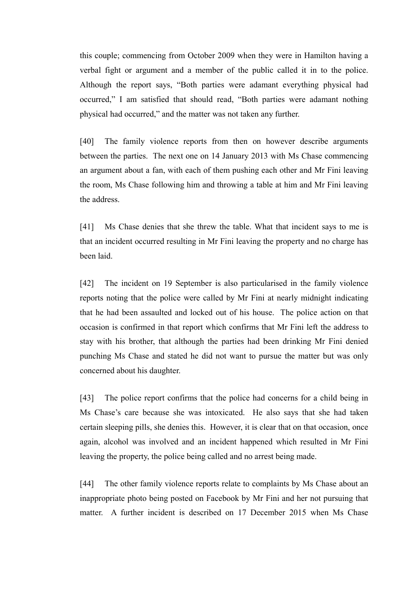this couple; commencing from October 2009 when they were in Hamilton having a verbal fight or argument and a member of the public called it in to the police. Although the report says, "Both parties were adamant everything physical had occurred," I am satisfied that should read, "Both parties were adamant nothing physical had occurred," and the matter was not taken any further.

[40] The family violence reports from then on however describe arguments between the parties. The next one on 14 January 2013 with Ms Chase commencing an argument about a fan, with each of them pushing each other and Mr Fini leaving the room, Ms Chase following him and throwing a table at him and Mr Fini leaving the address.

[41] Ms Chase denies that she threw the table. What that incident says to me is that an incident occurred resulting in Mr Fini leaving the property and no charge has been laid.

[42] The incident on 19 September is also particularised in the family violence reports noting that the police were called by Mr Fini at nearly midnight indicating that he had been assaulted and locked out of his house. The police action on that occasion is confirmed in that report which confirms that Mr Fini left the address to stay with his brother, that although the parties had been drinking Mr Fini denied punching Ms Chase and stated he did not want to pursue the matter but was only concerned about his daughter.

[43] The police report confirms that the police had concerns for a child being in Ms Chase's care because she was intoxicated. He also says that she had taken certain sleeping pills, she denies this. However, it is clear that on that occasion, once again, alcohol was involved and an incident happened which resulted in Mr Fini leaving the property, the police being called and no arrest being made.

[44] The other family violence reports relate to complaints by Ms Chase about an inappropriate photo being posted on Facebook by Mr Fini and her not pursuing that matter. A further incident is described on 17 December 2015 when Ms Chase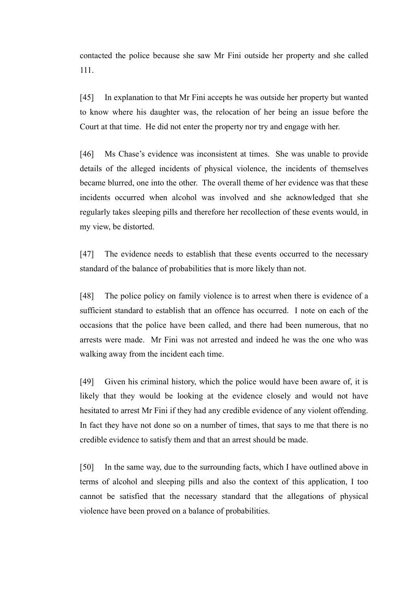contacted the police because she saw Mr Fini outside her property and she called 111.

[45] In explanation to that Mr Fini accepts he was outside her property but wanted to know where his daughter was, the relocation of her being an issue before the Court at that time. He did not enter the property nor try and engage with her.

[46] Ms Chase's evidence was inconsistent at times. She was unable to provide details of the alleged incidents of physical violence, the incidents of themselves became blurred, one into the other. The overall theme of her evidence was that these incidents occurred when alcohol was involved and she acknowledged that she regularly takes sleeping pills and therefore her recollection of these events would, in my view, be distorted.

[47] The evidence needs to establish that these events occurred to the necessary standard of the balance of probabilities that is more likely than not.

[48] The police policy on family violence is to arrest when there is evidence of a sufficient standard to establish that an offence has occurred. I note on each of the occasions that the police have been called, and there had been numerous, that no arrests were made. Mr Fini was not arrested and indeed he was the one who was walking away from the incident each time.

[49] Given his criminal history, which the police would have been aware of, it is likely that they would be looking at the evidence closely and would not have hesitated to arrest Mr Fini if they had any credible evidence of any violent offending. In fact they have not done so on a number of times, that says to me that there is no credible evidence to satisfy them and that an arrest should be made.

[50] In the same way, due to the surrounding facts, which I have outlined above in terms of alcohol and sleeping pills and also the context of this application, I too cannot be satisfied that the necessary standard that the allegations of physical violence have been proved on a balance of probabilities.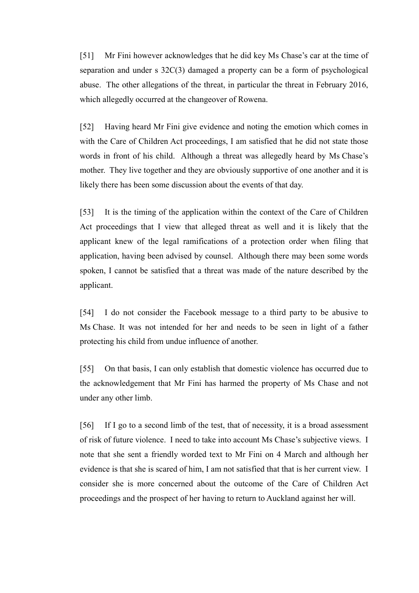[51] Mr Fini however acknowledges that he did key Ms Chase's car at the time of separation and under s 32C(3) damaged a property can be a form of psychological abuse. The other allegations of the threat, in particular the threat in February 2016, which allegedly occurred at the changeover of Rowena.

[52] Having heard Mr Fini give evidence and noting the emotion which comes in with the Care of Children Act proceedings, I am satisfied that he did not state those words in front of his child. Although a threat was allegedly heard by Ms Chase's mother. They live together and they are obviously supportive of one another and it is likely there has been some discussion about the events of that day.

[53] It is the timing of the application within the context of the Care of Children Act proceedings that I view that alleged threat as well and it is likely that the applicant knew of the legal ramifications of a protection order when filing that application, having been advised by counsel. Although there may been some words spoken, I cannot be satisfied that a threat was made of the nature described by the applicant.

[54] I do not consider the Facebook message to a third party to be abusive to Ms Chase. It was not intended for her and needs to be seen in light of a father protecting his child from undue influence of another.

[55] On that basis, I can only establish that domestic violence has occurred due to the acknowledgement that Mr Fini has harmed the property of Ms Chase and not under any other limb.

[56] If I go to a second limb of the test, that of necessity, it is a broad assessment of risk of future violence. I need to take into account Ms Chase's subjective views. I note that she sent a friendly worded text to Mr Fini on 4 March and although her evidence is that she is scared of him, I am not satisfied that that is her current view. I consider she is more concerned about the outcome of the Care of Children Act proceedings and the prospect of her having to return to Auckland against her will.